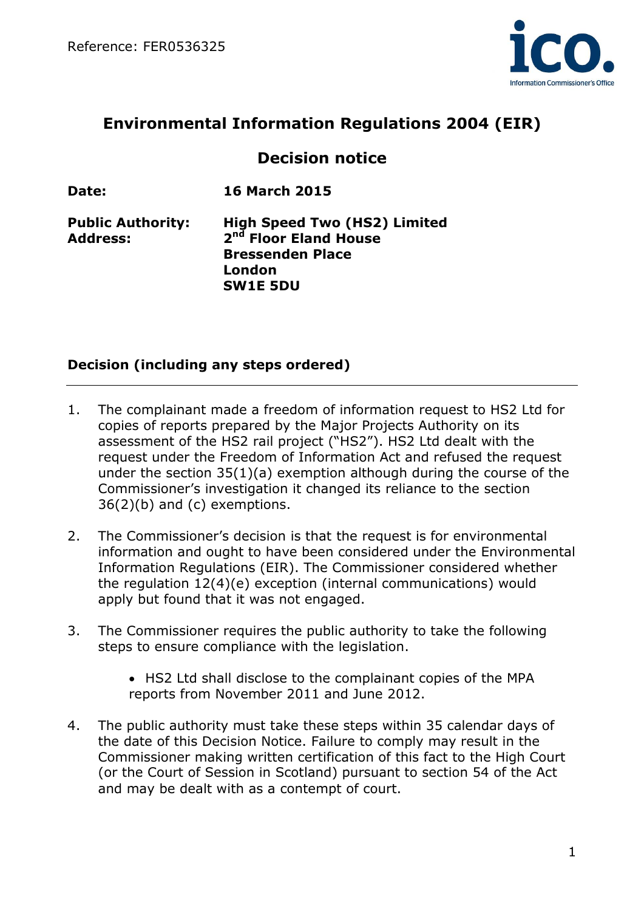

# **Environmental Information Regulations 2004 (EIR)**

# **Decision notice**

**Date: 16 March 2015**

**Address: 2**

**Public Authority: High Speed Two (HS2) Limited nd Floor Eland House Bressenden Place London SW1E 5DU**

### **Decision (including any steps ordered)**

- 1. The complainant made a freedom of information request to HS2 Ltd for copies of reports prepared by the Major Projects Authority on its assessment of the HS2 rail project ("HS2"). HS2 Ltd dealt with the request under the Freedom of Information Act and refused the request under the section 35(1)(a) exemption although during the course of the Commissioner's investigation it changed its reliance to the section 36(2)(b) and (c) exemptions.
- 2. The Commissioner's decision is that the request is for environmental information and ought to have been considered under the Environmental Information Regulations (EIR). The Commissioner considered whether the regulation 12(4)(e) exception (internal communications) would apply but found that it was not engaged.
- 3. The Commissioner requires the public authority to take the following steps to ensure compliance with the legislation.
	- HS2 Ltd shall disclose to the complainant copies of the MPA reports from November 2011 and June 2012.
- 4. The public authority must take these steps within 35 calendar days of the date of this Decision Notice. Failure to comply may result in the Commissioner making written certification of this fact to the High Court (or the Court of Session in Scotland) pursuant to section 54 of the Act and may be dealt with as a contempt of court.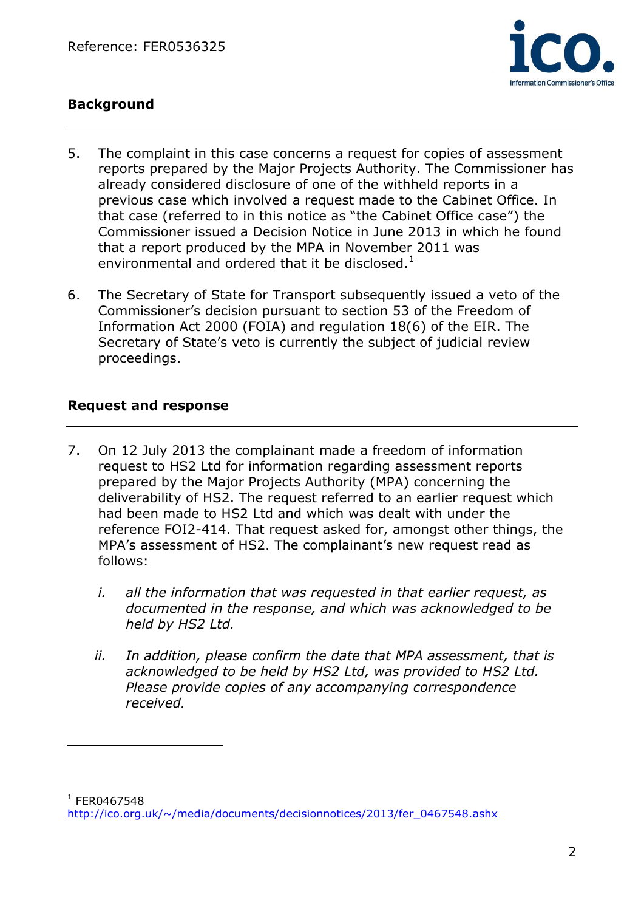

# **Background**

- 5. The complaint in this case concerns a request for copies of assessment reports prepared by the Major Projects Authority. The Commissioner has already considered disclosure of one of the withheld reports in a previous case which involved a request made to the Cabinet Office. In that case (referred to in this notice as "the Cabinet Office case") the Commissioner issued a Decision Notice in June 2013 in which he found that a report produced by the MPA in November 2011 was environmental and ordered that it be disclosed.<sup>1</sup>
- 6. The Secretary of State for Transport subsequently issued a veto of the Commissioner's decision pursuant to section 53 of the Freedom of Information Act 2000 (FOIA) and regulation 18(6) of the EIR. The Secretary of State's veto is currently the subject of judicial review proceedings.

#### **Request and response**

 $\overline{a}$ 

- 7. On 12 July 2013 the complainant made a freedom of information request to HS2 Ltd for information regarding assessment reports prepared by the Major Projects Authority (MPA) concerning the deliverability of HS2. The request referred to an earlier request which had been made to HS2 Ltd and which was dealt with under the reference FOI2-414. That request asked for, amongst other things, the MPA's assessment of HS2. The complainant's new request read as follows:
	- *i. all the information that was requested in that earlier request, as documented in the response, and which was acknowledged to be held by HS2 Ltd.*
	- *ii. In addition, please confirm the date that MPA assessment, that is acknowledged to be held by HS2 Ltd, was provided to HS2 Ltd. Please provide copies of any accompanying correspondence received.*

 $1$  FER0467548 [http://ico.org.uk/~/media/documents/decisionnotices/2013/fer\\_0467548.ashx](http://ico.org.uk/~/media/documents/decisionnotices/2013/fer_0467548.ashx)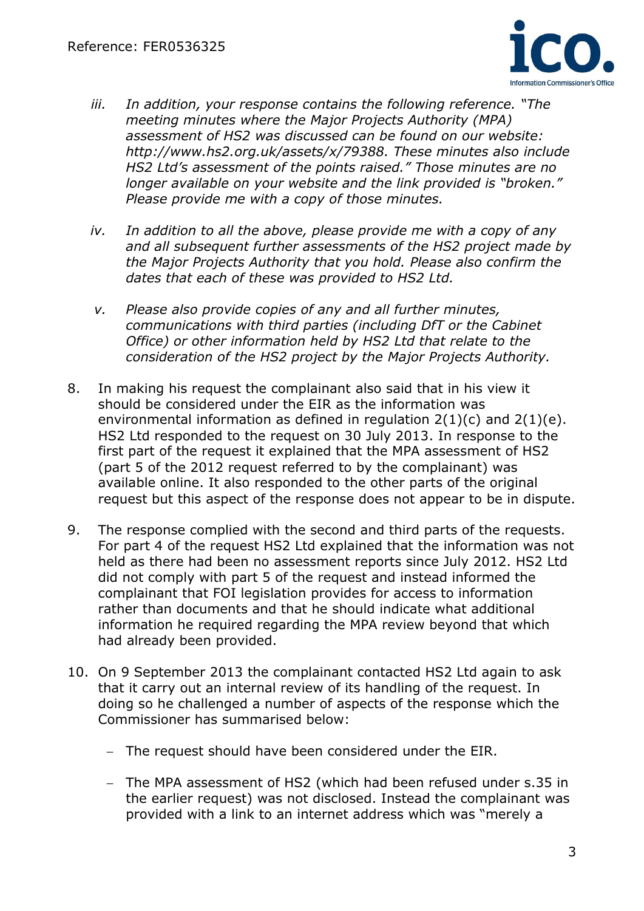

- *iii. In addition, your response contains the following reference. "The meeting minutes where the Major Projects Authority (MPA) assessment of HS2 was discussed can be found on our website: http://www.hs2.org.uk/assets/x/79388. These minutes also include HS2 Ltd's assessment of the points raised." Those minutes are no longer available on your website and the link provided is "broken." Please provide me with a copy of those minutes.*
- *iv. In addition to all the above, please provide me with a copy of any and all subsequent further assessments of the HS2 project made by the Major Projects Authority that you hold. Please also confirm the dates that each of these was provided to HS2 Ltd.*
- *v. Please also provide copies of any and all further minutes, communications with third parties (including DfT or the Cabinet Office) or other information held by HS2 Ltd that relate to the consideration of the HS2 project by the Major Projects Authority.*
- 8. In making his request the complainant also said that in his view it should be considered under the EIR as the information was environmental information as defined in regulation  $2(1)(c)$  and  $2(1)(e)$ . HS2 Ltd responded to the request on 30 July 2013. In response to the first part of the request it explained that the MPA assessment of HS2 (part 5 of the 2012 request referred to by the complainant) was available online. It also responded to the other parts of the original request but this aspect of the response does not appear to be in dispute.
- 9. The response complied with the second and third parts of the requests. For part 4 of the request HS2 Ltd explained that the information was not held as there had been no assessment reports since July 2012. HS2 Ltd did not comply with part 5 of the request and instead informed the complainant that FOI legislation provides for access to information rather than documents and that he should indicate what additional information he required regarding the MPA review beyond that which had already been provided.
- 10. On 9 September 2013 the complainant contacted HS2 Ltd again to ask that it carry out an internal review of its handling of the request. In doing so he challenged a number of aspects of the response which the Commissioner has summarised below:
	- The request should have been considered under the EIR.
	- The MPA assessment of HS2 (which had been refused under s.35 in the earlier request) was not disclosed. Instead the complainant was provided with a link to an internet address which was "merely a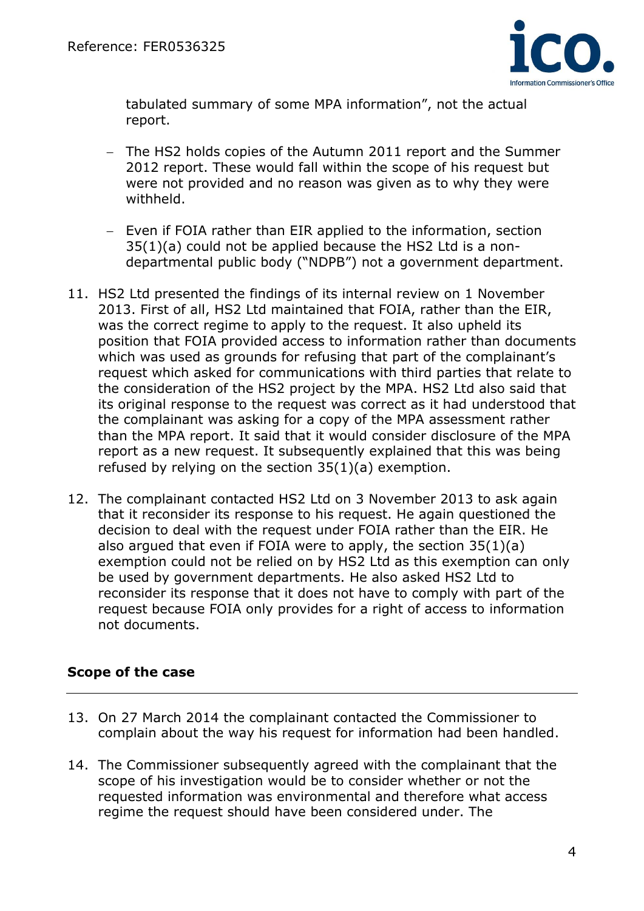

tabulated summary of some MPA information", not the actual report.

- The HS2 holds copies of the Autumn 2011 report and the Summer 2012 report. These would fall within the scope of his request but were not provided and no reason was given as to why they were withheld.
- Even if FOIA rather than EIR applied to the information, section 35(1)(a) could not be applied because the HS2 Ltd is a nondepartmental public body ("NDPB") not a government department.
- 11. HS2 Ltd presented the findings of its internal review on 1 November 2013. First of all, HS2 Ltd maintained that FOIA, rather than the EIR, was the correct regime to apply to the request. It also upheld its position that FOIA provided access to information rather than documents which was used as grounds for refusing that part of the complainant's request which asked for communications with third parties that relate to the consideration of the HS2 project by the MPA. HS2 Ltd also said that its original response to the request was correct as it had understood that the complainant was asking for a copy of the MPA assessment rather than the MPA report. It said that it would consider disclosure of the MPA report as a new request. It subsequently explained that this was being refused by relying on the section 35(1)(a) exemption.
- 12. The complainant contacted HS2 Ltd on 3 November 2013 to ask again that it reconsider its response to his request. He again questioned the decision to deal with the request under FOIA rather than the EIR. He also argued that even if FOIA were to apply, the section 35(1)(a) exemption could not be relied on by HS2 Ltd as this exemption can only be used by government departments. He also asked HS2 Ltd to reconsider its response that it does not have to comply with part of the request because FOIA only provides for a right of access to information not documents.

### **Scope of the case**

- 13. On 27 March 2014 the complainant contacted the Commissioner to complain about the way his request for information had been handled.
- 14. The Commissioner subsequently agreed with the complainant that the scope of his investigation would be to consider whether or not the requested information was environmental and therefore what access regime the request should have been considered under. The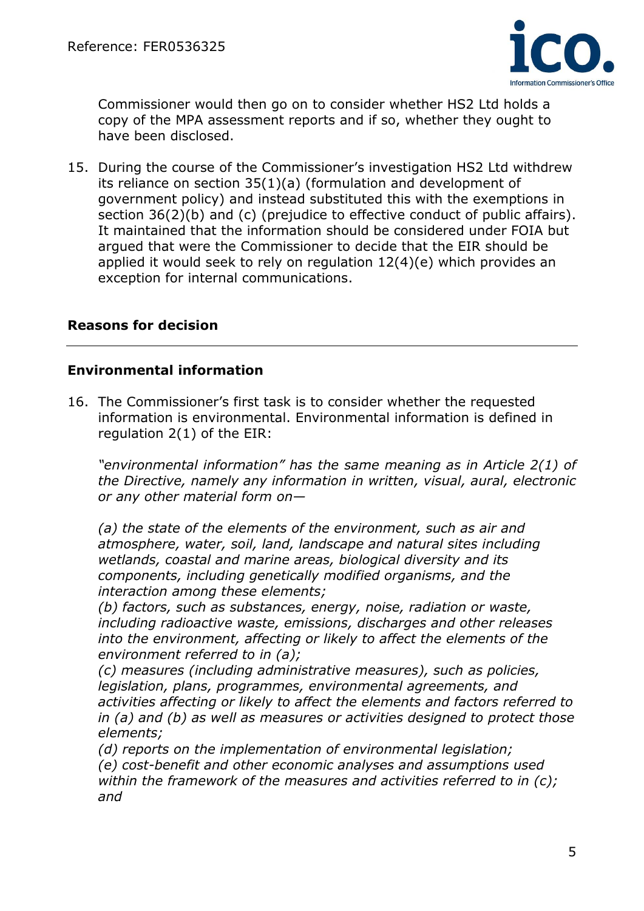

Commissioner would then go on to consider whether HS2 Ltd holds a copy of the MPA assessment reports and if so, whether they ought to have been disclosed.

15. During the course of the Commissioner's investigation HS2 Ltd withdrew its reliance on section 35(1)(a) (formulation and development of government policy) and instead substituted this with the exemptions in section 36(2)(b) and (c) (prejudice to effective conduct of public affairs). It maintained that the information should be considered under FOIA but argued that were the Commissioner to decide that the EIR should be applied it would seek to rely on regulation 12(4)(e) which provides an exception for internal communications.

#### **Reasons for decision**

#### **Environmental information**

16. The Commissioner's first task is to consider whether the requested information is environmental. Environmental information is defined in regulation 2(1) of the EIR:

*"environmental information" has the same meaning as in Article 2(1) of the Directive, namely any information in written, visual, aural, electronic or any other material form on—*

*(a) the state of the elements of the environment, such as air and atmosphere, water, soil, land, landscape and natural sites including wetlands, coastal and marine areas, biological diversity and its components, including genetically modified organisms, and the interaction among these elements;* 

*(b) factors, such as substances, energy, noise, radiation or waste, including radioactive waste, emissions, discharges and other releases into the environment, affecting or likely to affect the elements of the environment referred to in (a);* 

*(c) measures (including administrative measures), such as policies, legislation, plans, programmes, environmental agreements, and activities affecting or likely to affect the elements and factors referred to in (a) and (b) as well as measures or activities designed to protect those elements;* 

*(d) reports on the implementation of environmental legislation; (e) cost-benefit and other economic analyses and assumptions used* 

*within the framework of the measures and activities referred to in (c); and*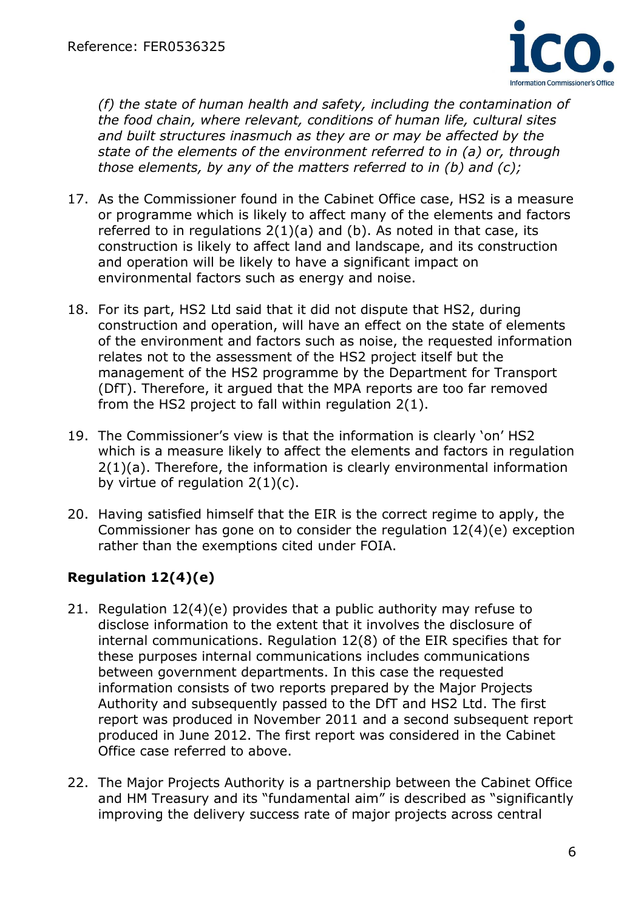

*(f) the state of human health and safety, including the contamination of the food chain, where relevant, conditions of human life, cultural sites and built structures inasmuch as they are or may be affected by the state of the elements of the environment referred to in (a) or, through those elements, by any of the matters referred to in (b) and (c);* 

- 17. As the Commissioner found in the Cabinet Office case, HS2 is a measure or programme which is likely to affect many of the elements and factors referred to in regulations 2(1)(a) and (b). As noted in that case, its construction is likely to affect land and landscape, and its construction and operation will be likely to have a significant impact on environmental factors such as energy and noise.
- 18. For its part, HS2 Ltd said that it did not dispute that HS2, during construction and operation, will have an effect on the state of elements of the environment and factors such as noise, the requested information relates not to the assessment of the HS2 project itself but the management of the HS2 programme by the Department for Transport (DfT). Therefore, it argued that the MPA reports are too far removed from the HS2 project to fall within regulation 2(1).
- 19. The Commissioner's view is that the information is clearly 'on' HS2 which is a measure likely to affect the elements and factors in regulation 2(1)(a). Therefore, the information is clearly environmental information by virtue of regulation  $2(1)(c)$ .
- 20. Having satisfied himself that the EIR is the correct regime to apply, the Commissioner has gone on to consider the regulation 12(4)(e) exception rather than the exemptions cited under FOIA.

# **Regulation 12(4)(e)**

- 21. Regulation 12(4)(e) provides that a public authority may refuse to disclose information to the extent that it involves the disclosure of internal communications. Regulation 12(8) of the EIR specifies that for these purposes internal communications includes communications between government departments. In this case the requested information consists of two reports prepared by the Major Projects Authority and subsequently passed to the DfT and HS2 Ltd. The first report was produced in November 2011 and a second subsequent report produced in June 2012. The first report was considered in the Cabinet Office case referred to above.
- 22. The Major Projects Authority is a partnership between the Cabinet Office and HM Treasury and its "fundamental aim" is described as "significantly improving the delivery success rate of major projects across central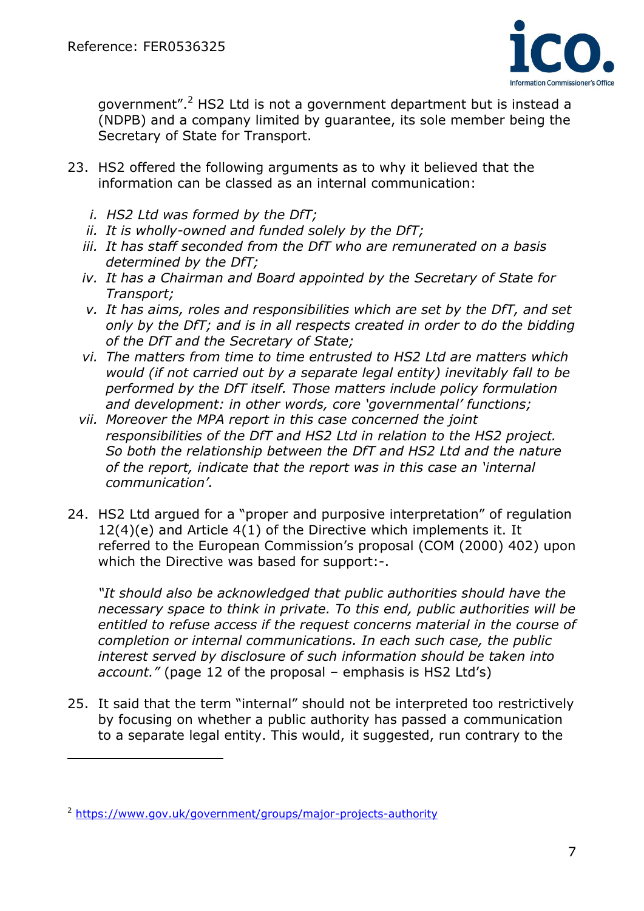

government".<sup>2</sup> HS2 Ltd is not a government department but is instead a (NDPB) and a company limited by guarantee, its sole member being the Secretary of State for Transport.

- 23. HS2 offered the following arguments as to why it believed that the information can be classed as an internal communication:
	- *i. HS2 Ltd was formed by the DfT;*
	- *ii. It is wholly-owned and funded solely by the DfT;*
	- *iii. It has staff seconded from the DfT who are remunerated on a basis determined by the DfT;*
	- *iv. It has a Chairman and Board appointed by the Secretary of State for Transport;*
	- *v. It has aims, roles and responsibilities which are set by the DfT, and set only by the DfT; and is in all respects created in order to do the bidding of the DfT and the Secretary of State;*
	- *vi. The matters from time to time entrusted to HS2 Ltd are matters which would (if not carried out by a separate legal entity) inevitably fall to be performed by the DfT itself. Those matters include policy formulation and development: in other words, core 'governmental' functions;*
	- *vii. Moreover the MPA report in this case concerned the joint responsibilities of the DfT and HS2 Ltd in relation to the HS2 project. So both the relationship between the DfT and HS2 Ltd and the nature of the report, indicate that the report was in this case an 'internal communication'.*
- 24. HS2 Ltd argued for a "proper and purposive interpretation" of regulation 12(4)(e) and Article 4(1) of the Directive which implements it. It referred to the European Commission's proposal (COM (2000) 402) upon which the Directive was based for support:-.

*"It should also be acknowledged that public authorities should have the necessary space to think in private. To this end, public authorities will be entitled to refuse access if the request concerns material in the course of completion or internal communications. In each such case, the public interest served by disclosure of such information should be taken into account."* (page 12 of the proposal – emphasis is HS2 Ltd's)

25. It said that the term "internal" should not be interpreted too restrictively by focusing on whether a public authority has passed a communication to a separate legal entity. This would, it suggested, run contrary to the

 $\overline{a}$ 

<sup>2</sup> <https://www.gov.uk/government/groups/major-projects-authority>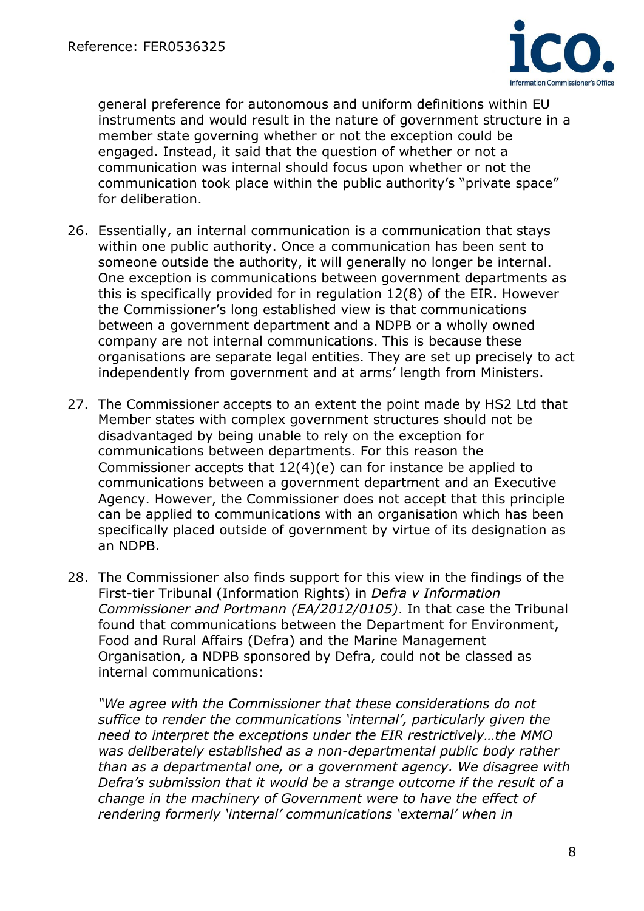

general preference for autonomous and uniform definitions within EU instruments and would result in the nature of government structure in a member state governing whether or not the exception could be engaged. Instead, it said that the question of whether or not a communication was internal should focus upon whether or not the communication took place within the public authority's "private space" for deliberation.

- 26. Essentially, an internal communication is a communication that stays within one public authority. Once a communication has been sent to someone outside the authority, it will generally no longer be internal. One exception is communications between government departments as this is specifically provided for in regulation 12(8) of the EIR. However the Commissioner's long established view is that communications between a government department and a NDPB or a wholly owned company are not internal communications. This is because these organisations are separate legal entities. They are set up precisely to act independently from government and at arms' length from Ministers.
- 27. The Commissioner accepts to an extent the point made by HS2 Ltd that Member states with complex government structures should not be disadvantaged by being unable to rely on the exception for communications between departments. For this reason the Commissioner accepts that 12(4)(e) can for instance be applied to communications between a government department and an Executive Agency. However, the Commissioner does not accept that this principle can be applied to communications with an organisation which has been specifically placed outside of government by virtue of its designation as an NDPB.
- 28. The Commissioner also finds support for this view in the findings of the First-tier Tribunal (Information Rights) in *Defra v Information Commissioner and Portmann (EA/2012/0105)*. In that case the Tribunal found that communications between the Department for Environment, Food and Rural Affairs (Defra) and the Marine Management Organisation, a NDPB sponsored by Defra, could not be classed as internal communications:

*"We agree with the Commissioner that these considerations do not suffice to render the communications 'internal', particularly given the need to interpret the exceptions under the EIR restrictively…the MMO was deliberately established as a non-departmental public body rather than as a departmental one, or a government agency. We disagree with Defra's submission that it would be a strange outcome if the result of a change in the machinery of Government were to have the effect of rendering formerly 'internal' communications 'external' when in*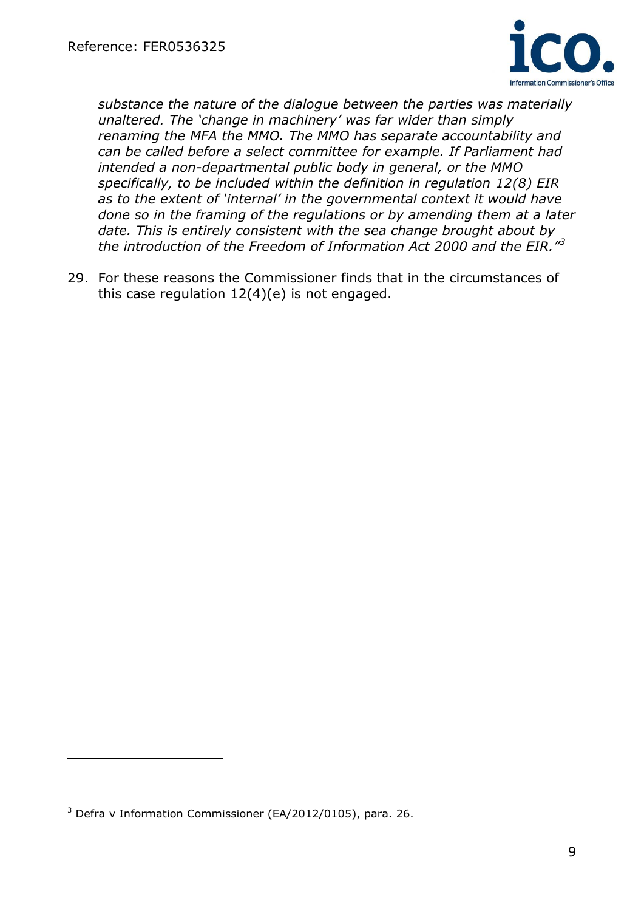

*substance the nature of the dialogue between the parties was materially unaltered. The 'change in machinery' was far wider than simply renaming the MFA the MMO. The MMO has separate accountability and can be called before a select committee for example. If Parliament had intended a non-departmental public body in general, or the MMO specifically, to be included within the definition in regulation 12(8) EIR as to the extent of 'internal' in the governmental context it would have done so in the framing of the regulations or by amending them at a later date. This is entirely consistent with the sea change brought about by the introduction of the Freedom of Information Act 2000 and the EIR."<sup>3</sup>*

29. For these reasons the Commissioner finds that in the circumstances of this case regulation 12(4)(e) is not engaged.

 $\overline{a}$ 

 $3$  Defra v Information Commissioner (EA/2012/0105), para. 26.